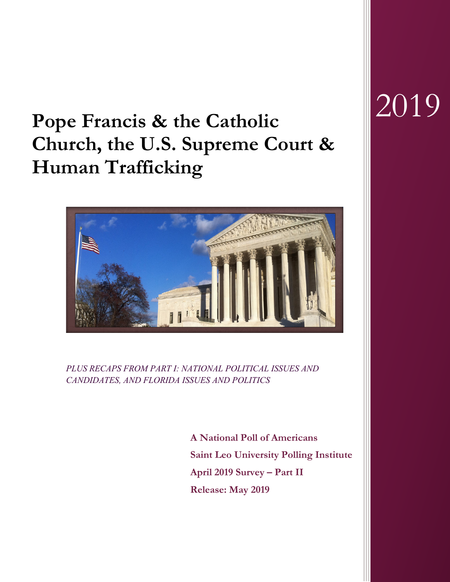# **Pope Francis & the Catholic Church, the U.S. Supreme Court & Human Trafficking**



*PLUS RECAPS FROM PART I: NATIONAL POLITICAL ISSUES AND CANDIDATES, AND FLORIDA ISSUES AND POLITICS*

> **A National Poll of Americans Saint Leo University Polling Institute April 2019 Survey – Part II Release: May 2019**

# 2019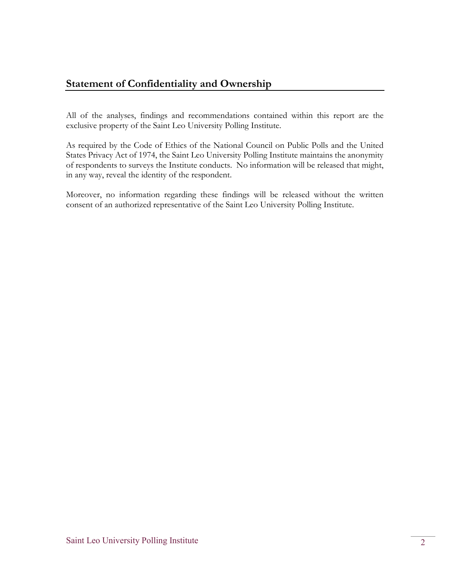## **Statement of Confidentiality and Ownership**

All of the analyses, findings and recommendations contained within this report are the exclusive property of the Saint Leo University Polling Institute.

As required by the Code of Ethics of the National Council on Public Polls and the United States Privacy Act of 1974, the Saint Leo University Polling Institute maintains the anonymity of respondents to surveys the Institute conducts. No information will be released that might, in any way, reveal the identity of the respondent.

Moreover, no information regarding these findings will be released without the written consent of an authorized representative of the Saint Leo University Polling Institute.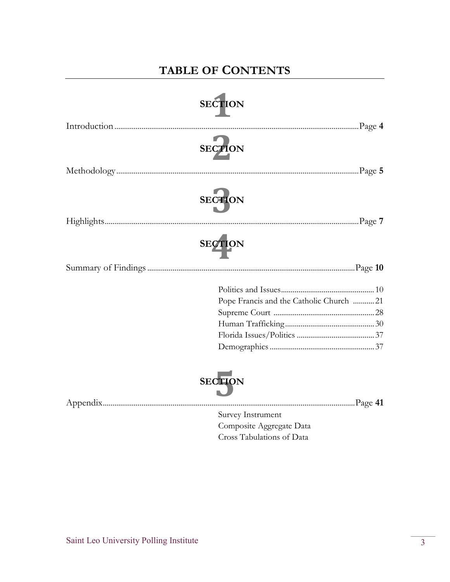# **TABLE OF CONTENTS**

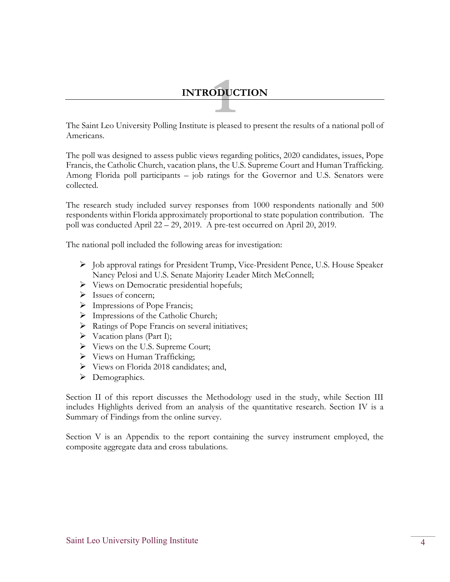# **1INTRODUCTION**

The Saint Leo University Polling Institute is pleased to present the results of a national poll of Americans.

The poll was designed to assess public views regarding politics, 2020 candidates, issues, Pope Francis, the Catholic Church, vacation plans, the U.S. Supreme Court and Human Trafficking. Among Florida poll participants – job ratings for the Governor and U.S. Senators were collected.

The research study included survey responses from 1000 respondents nationally and 500 respondents within Florida approximately proportional to state population contribution. The poll was conducted April 22 – 29, 2019. A pre-test occurred on April 20, 2019.

The national poll included the following areas for investigation:

- $\triangleright$  Job approval ratings for President Trump, Vice-President Pence, U.S. House Speaker Nancy Pelosi and U.S. Senate Majority Leader Mitch McConnell;
- $\triangleright$  Views on Democratic presidential hopefuls;
- $\triangleright$  Issues of concern;
- > Impressions of Pope Francis;
- $\triangleright$  Impressions of the Catholic Church;
- $\triangleright$  Ratings of Pope Francis on several initiatives;
- $\triangleright$  Vacation plans (Part I);
- Views on the U.S. Supreme Court;
- $\triangleright$  Views on Human Trafficking;
- Views on Florida 2018 candidates; and,
- > Demographics.

Section II of this report discusses the Methodology used in the study, while Section III includes Highlights derived from an analysis of the quantitative research. Section IV is a Summary of Findings from the online survey.

Section V is an Appendix to the report containing the survey instrument employed, the composite aggregate data and cross tabulations.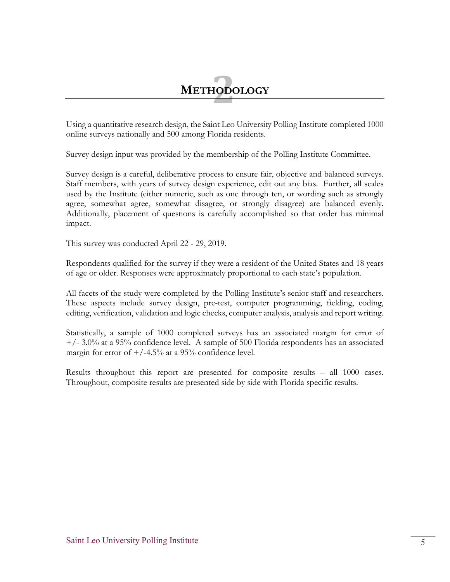# **METHODOLOGY 2**

Using a quantitative research design, the Saint Leo University Polling Institute completed 1000 online surveys nationally and 500 among Florida residents.

Survey design input was provided by the membership of the Polling Institute Committee.

Survey design is a careful, deliberative process to ensure fair, objective and balanced surveys. Staff members, with years of survey design experience, edit out any bias. Further, all scales used by the Institute (either numeric, such as one through ten, or wording such as strongly agree, somewhat agree, somewhat disagree, or strongly disagree) are balanced evenly. Additionally, placement of questions is carefully accomplished so that order has minimal impact.

This survey was conducted April 22 - 29, 2019.

Respondents qualified for the survey if they were a resident of the United States and 18 years of age or older. Responses were approximately proportional to each state's population.

All facets of the study were completed by the Polling Institute's senior staff and researchers. These aspects include survey design, pre-test, computer programming, fielding, coding, editing, verification, validation and logic checks, computer analysis, analysis and report writing.

Statistically, a sample of 1000 completed surveys has an associated margin for error of  $+/- 3.0\%$  at a 95% confidence level. A sample of 500 Florida respondents has an associated margin for error of  $+/-4.5%$  at a 95% confidence level.

Results throughout this report are presented for composite results – all 1000 cases. Throughout, composite results are presented side by side with Florida specific results.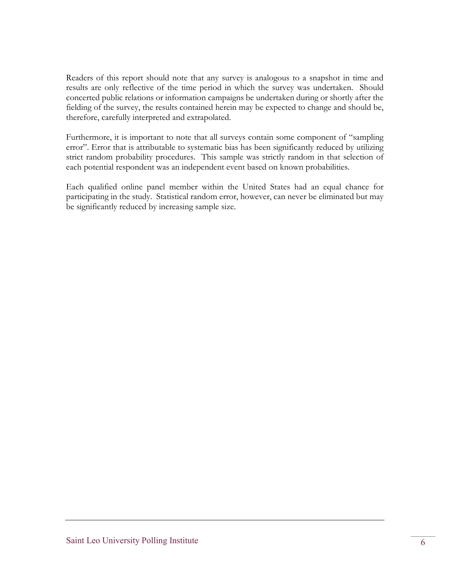Readers of this report should note that any survey is analogous to a snapshot in time and results are only reflective of the time period in which the survey was undertaken. Should concerted public relations or information campaigns be undertaken during or shortly after the fielding of the survey, the results contained herein may be expected to change and should be, therefore, carefully interpreted and extrapolated.

Furthermore, it is important to note that all surveys contain some component of "sampling error". Error that is attributable to systematic bias has been significantly reduced by utilizing strict random probability procedures. This sample was strictly random in that selection of each potential respondent was an independent event based on known probabilities.

Each qualified online panel member within the United States had an equal chance for participating in the study. Statistical random error, however, can never be eliminated but may be significantly reduced by increasing sample size.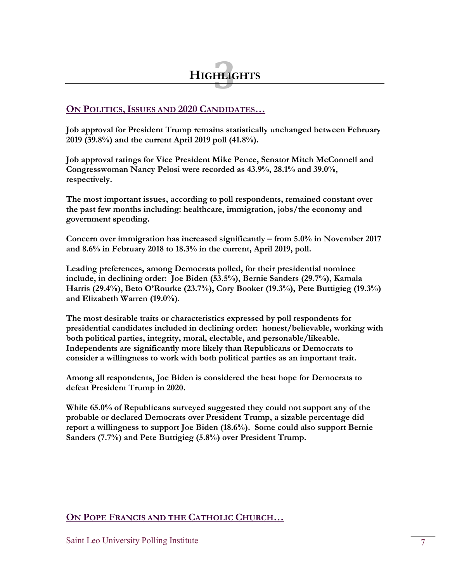#### **ON POLITICS,ISSUES AND 2020 CANDIDATES…**

**Job approval for President Trump remains statistically unchanged between February 2019 (39.8%) and the current April 2019 poll (41.8%).**

**Job approval ratings for Vice President Mike Pence, Senator Mitch McConnell and Congresswoman Nancy Pelosi were recorded as 43.9%, 28.1% and 39.0%, respectively.**

**The most important issues, according to poll respondents, remained constant over the past few months including: healthcare, immigration, jobs/the economy and government spending.** 

**Concern over immigration has increased significantly – from 5.0% in November 2017 and 8.6% in February 2018 to 18.3% in the current, April 2019, poll.**

**Leading preferences, among Democrats polled, for their presidential nominee include, in declining order: Joe Biden (53.5%), Bernie Sanders (29.7%), Kamala Harris (29.4%), Beto O'Rourke (23.7%), Cory Booker (19.3%), Pete Buttigieg (19.3%) and Elizabeth Warren (19.0%).**

**The most desirable traits or characteristics expressed by poll respondents for presidential candidates included in declining order: honest/believable, working with both political parties, integrity, moral, electable, and personable/likeable. Independents are significantly more likely than Republicans or Democrats to consider a willingness to work with both political parties as an important trait.**

**Among all respondents, Joe Biden is considered the best hope for Democrats to defeat President Trump in 2020.**

**While 65.0% of Republicans surveyed suggested they could not support any of the probable or declared Democrats over President Trump, a sizable percentage did report a willingness to support Joe Biden (18.6%). Some could also support Bernie Sanders (7.7%) and Pete Buttigieg (5.8%) over President Trump.**

#### **ON POPE FRANCIS AND THE CATHOLIC CHURCH…**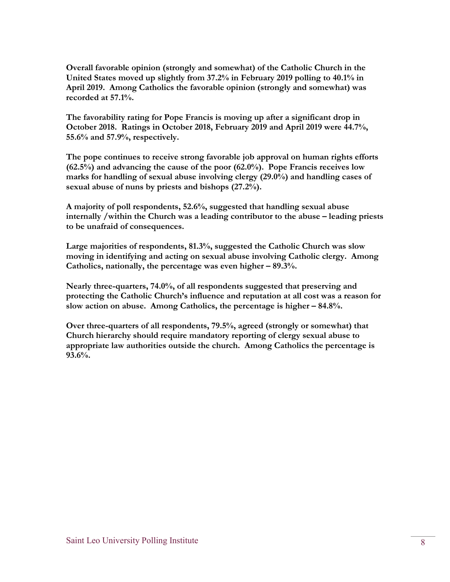**Overall favorable opinion (strongly and somewhat) of the Catholic Church in the United States moved up slightly from 37.2% in February 2019 polling to 40.1% in April 2019. Among Catholics the favorable opinion (strongly and somewhat) was recorded at 57.1%.** 

**The favorability rating for Pope Francis is moving up after a significant drop in October 2018. Ratings in October 2018, February 2019 and April 2019 were 44.7%, 55.6% and 57.9%, respectively.**

**The pope continues to receive strong favorable job approval on human rights efforts (62.5%) and advancing the cause of the poor (62.0%). Pope Francis receives low marks for handling of sexual abuse involving clergy (29.0%) and handling cases of sexual abuse of nuns by priests and bishops (27.2%).**

**A majority of poll respondents, 52.6%, suggested that handling sexual abuse internally /within the Church was a leading contributor to the abuse – leading priests to be unafraid of consequences.** 

**Large majorities of respondents, 81.3%, suggested the Catholic Church was slow moving in identifying and acting on sexual abuse involving Catholic clergy. Among Catholics, nationally, the percentage was even higher – 89.3%.** 

**Nearly three-quarters, 74.0%, of all respondents suggested that preserving and protecting the Catholic Church's influence and reputation at all cost was a reason for slow action on abuse. Among Catholics, the percentage is higher – 84.8%.** 

**Over three-quarters of all respondents, 79.5%, agreed (strongly or somewhat) that Church hierarchy should require mandatory reporting of clergy sexual abuse to appropriate law authorities outside the church. Among Catholics the percentage is 93.6%.**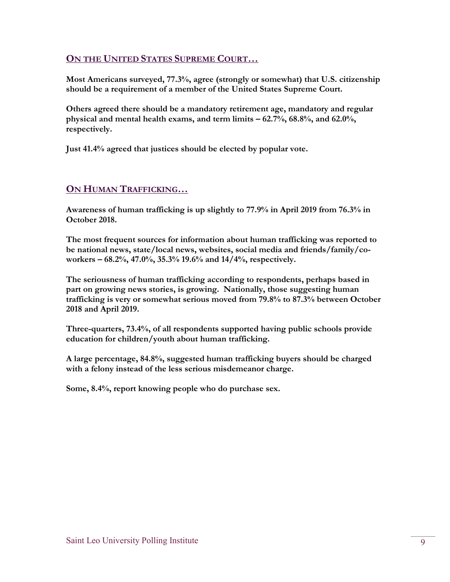#### **ON THE UNITED STATES SUPREME COURT…**

**Most Americans surveyed, 77.3%, agree (strongly or somewhat) that U.S. citizenship should be a requirement of a member of the United States Supreme Court.** 

**Others agreed there should be a mandatory retirement age, mandatory and regular physical and mental health exams, and term limits – 62.7%, 68.8%, and 62.0%, respectively.** 

**Just 41.4% agreed that justices should be elected by popular vote.** 

#### **ON HUMAN TRAFFICKING…**

**Awareness of human trafficking is up slightly to 77.9% in April 2019 from 76.3% in October 2018.** 

**The most frequent sources for information about human trafficking was reported to be national news, state/local news, websites, social media and friends/family/coworkers – 68.2%, 47.0%, 35.3% 19.6% and 14/4%, respectively.**

**The seriousness of human trafficking according to respondents, perhaps based in part on growing news stories, is growing. Nationally, those suggesting human trafficking is very or somewhat serious moved from 79.8% to 87.3% between October 2018 and April 2019.** 

**Three-quarters, 73.4%, of all respondents supported having public schools provide education for children/youth about human trafficking.**

**A large percentage, 84.8%, suggested human trafficking buyers should be charged with a felony instead of the less serious misdemeanor charge.** 

**Some, 8.4%, report knowing people who do purchase sex.**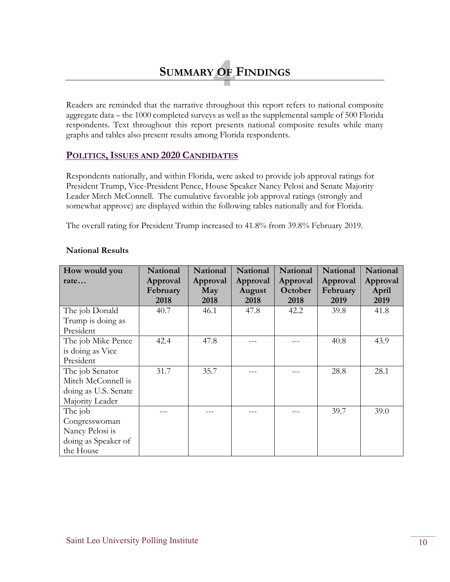# **SUMMARYOF OF FINDINGS**

Readers are reminded that the narrative throughout this report refers to national composite aggregate data – the 1000 completed surveys as well as the supplemental sample of 500 Florida respondents. Text throughout this report presents national composite results while many graphs and tables also present results among Florida respondents.

#### **POLITICS,ISSUES AND 2020 CANDIDATES**

Respondents nationally, and within Florida, were asked to provide job approval ratings for President Trump, Vice-President Pence, House Speaker Nancy Pelosi and Senate Majority Leader Mitch McConnell. The cumulative favorable job approval ratings (strongly and somewhat approve) are displayed within the following tables nationally and for Florida.

The overall rating for President Trump increased to 41.8% from 39.8% February 2019.

| How would you        | <b>National</b>      | National        | <b>National</b>    | <b>National</b>     | <b>National</b>      | <b>National</b>   |
|----------------------|----------------------|-----------------|--------------------|---------------------|----------------------|-------------------|
| rate                 | Approval<br>February | Approval<br>May | Approval<br>August | Approval<br>October | Approval<br>February | Approval<br>April |
|                      | 2018                 | 2018            | 2018               | 2018                | 2019                 | 2019              |
| The job Donald       | 40.7                 | 46.1            | 47.8               | 42.2                | 39.8                 | 41.8              |
| Trump is doing as    |                      |                 |                    |                     |                      |                   |
| President            |                      |                 |                    |                     |                      |                   |
| The job Mike Pence   | 42.4                 | 47.8            |                    |                     | 40.8                 | 43.9              |
| is doing as Vice     |                      |                 |                    |                     |                      |                   |
| President            |                      |                 |                    |                     |                      |                   |
| The job Senator      | 31.7                 | 35.7            |                    |                     | 28.8                 | 28.1              |
| Mitch McConnell is   |                      |                 |                    |                     |                      |                   |
| doing as U.S. Senate |                      |                 |                    |                     |                      |                   |
| Majority Leader      |                      |                 |                    |                     |                      |                   |
| The job              |                      |                 |                    |                     | 39.7                 | 39.0              |
| Congresswoman        |                      |                 |                    |                     |                      |                   |
| Nancy Pelosi is      |                      |                 |                    |                     |                      |                   |
| doing as Speaker of  |                      |                 |                    |                     |                      |                   |
| the House            |                      |                 |                    |                     |                      |                   |

#### **National Results**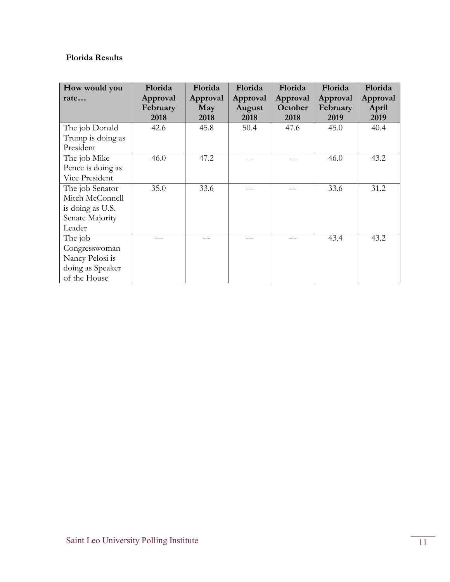#### **Florida Results**

| How would you     | Florida  | Florida  | Florida  | Florida  | Florida  | Florida  |
|-------------------|----------|----------|----------|----------|----------|----------|
| rate              | Approval | Approval | Approval | Approval | Approval | Approval |
|                   | February | May      | August   | October  | February | April    |
|                   | 2018     | 2018     | 2018     | 2018     | 2019     | 2019     |
| The job Donald    | 42.6     | 45.8     | 50.4     | 47.6     | 45.0     | 40.4     |
| Trump is doing as |          |          |          |          |          |          |
| President         |          |          |          |          |          |          |
| The job Mike      | 46.0     | 47.2     |          |          | 46.0     | 43.2     |
| Pence is doing as |          |          |          |          |          |          |
| Vice President    |          |          |          |          |          |          |
| The job Senator   | 35.0     | 33.6     |          |          | 33.6     | 31.2     |
| Mitch McConnell   |          |          |          |          |          |          |
| is doing as U.S.  |          |          |          |          |          |          |
| Senate Majority   |          |          |          |          |          |          |
| Leader            |          |          |          |          |          |          |
| The job           |          |          |          |          | 43.4     | 43.2     |
| Congresswoman     |          |          |          |          |          |          |
| Nancy Pelosi is   |          |          |          |          |          |          |
| doing as Speaker  |          |          |          |          |          |          |
| of the House      |          |          |          |          |          |          |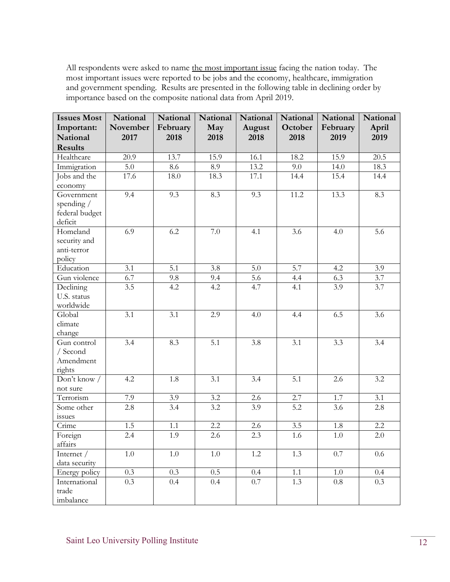All respondents were asked to name the most important issue facing the nation today. The most important issues were reported to be jobs and the economy, healthcare, immigration and government spending. Results are presented in the following table in declining order by importance based on the composite national data from April 2019.

| <b>Issues Most</b> | National         | <b>National</b> | <b>National</b>  | National | National         | National | National |
|--------------------|------------------|-----------------|------------------|----------|------------------|----------|----------|
| Important:         | November         | February        | May              | August   | October          | February | April    |
| National           | 2017             | 2018            | 2018             | 2018     | 2018             | 2019     | 2019     |
| <b>Results</b>     |                  |                 |                  |          |                  |          |          |
| Healthcare         | 20.9             | 13.7            | 15.9             | 16.1     | 18.2             | 15.9     | 20.5     |
| Immigration        | $\overline{5.0}$ | 8.6             | 8.9              | 13.2     | 9.0              | 14.0     | 18.3     |
| Jobs and the       | 17.6             | 18.0            | 18.3             | 17.1     | 14.4             | 15.4     | 14.4     |
| economy            |                  |                 |                  |          |                  |          |          |
| Government         | 9.4              | 9.3             | 8.3              | 9.3      | 11.2             | 13.3     | 8.3      |
| spending $/$       |                  |                 |                  |          |                  |          |          |
| federal budget     |                  |                 |                  |          |                  |          |          |
| deficit            |                  |                 |                  |          |                  |          |          |
| Homeland           | 6.9              | 6.2             | 7.0              | 4.1      | 3.6              | 4.0      | 5.6      |
| security and       |                  |                 |                  |          |                  |          |          |
| anti-terror        |                  |                 |                  |          |                  |          |          |
| policy             |                  |                 |                  |          |                  |          |          |
| Education          | 3.1              | 5.1             | 3.8              | 5.0      | 5.7              | 4.2      | 3.9      |
| Gun violence       | 6.7              | 9.8             | 9.4              | 5.6      | 4.4              | 6.3      | 3.7      |
| Declining          | 3.5              | 4.2             | 4.2              | 4.7      | 4.1              | 3.9      | 3.7      |
| U.S. status        |                  |                 |                  |          |                  |          |          |
| worldwide          |                  |                 |                  |          |                  |          |          |
| Global             | 3.1              | 3.1             | 2.9              | 4.0      | 4.4              | 6.5      | 3.6      |
| climate            |                  |                 |                  |          |                  |          |          |
| change             |                  |                 |                  |          |                  |          |          |
| Gun control        | 3.4              | 8.3             | $\overline{5.1}$ | 3.8      | $\overline{3.1}$ | 3.3      | 3.4      |
| / Second           |                  |                 |                  |          |                  |          |          |
| Amendment          |                  |                 |                  |          |                  |          |          |
| rights             |                  |                 |                  |          |                  |          |          |
| Don't know /       | 4.2              | 1.8             | 3.1              | 3.4      | 5.1              | 2.6      | 3.2      |
| not sure           |                  |                 |                  |          |                  |          |          |
| Terrorism          | 7.9              | 3.9             | 3.2              | 2.6      | 2.7              | 1.7      | 3.1      |
| Some other         | 2.8              | 3.4             | 3.2              | 3.9      | 5.2              | 3.6      | 2.8      |
| issues             |                  |                 |                  |          |                  |          |          |
| Crime              | 1.5              | 1.1             | 2.2              | 2.6      | 3.5              | 1.8      | 2.2      |
| Foreign            | 2.4              | 1.9             | 2.6              | 2.3      | 1.6              | $1.0\,$  | 2.0      |
| affairs            |                  |                 |                  |          |                  |          |          |
| Internet $/$       | $1.0\,$          | $1.0\,$         | 1.0              | 1.2      | 1.3              | 0.7      | 0.6      |
| data security      |                  |                 |                  |          |                  |          |          |
| Energy policy      | 0.3              | 0.3             | 0.5              | 0.4      | 1.1              | 1.0      | 0.4      |
| International      | 0.3              | 0.4             | 0.4              | 0.7      | $\overline{1.3}$ | 0.8      | 0.3      |
| trade              |                  |                 |                  |          |                  |          |          |
| imbalance          |                  |                 |                  |          |                  |          |          |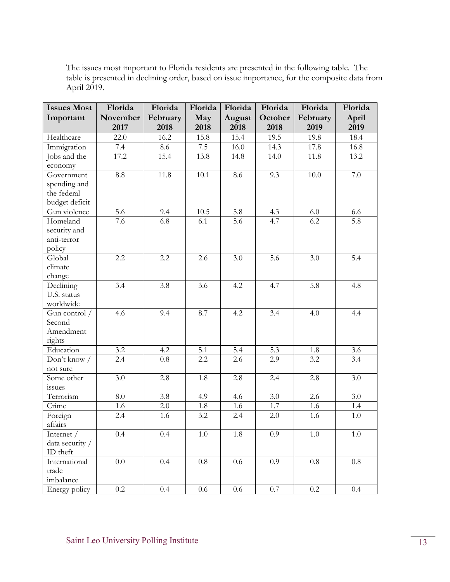The issues most important to Florida residents are presented in the following table. The table is presented in declining order, based on issue importance, for the composite data from April 2019.

| <b>Issues Most</b>  | Florida          | Florida  | Florida | Florida | Florida          | Florida  | Florida |
|---------------------|------------------|----------|---------|---------|------------------|----------|---------|
| Important           | November         | February | May     | August  | October          | February | April   |
|                     | 2017             | 2018     | 2018    | 2018    | 2018             | 2019     | 2019    |
| Healthcare          | 22.0             | 16.2     | 15.8    | 15.4    | 19.5             | 19.8     | 18.4    |
| Immigration         | 7.4              | 8.6      | 7.5     | 16.0    | 14.3             | 17.8     | 16.8    |
| Jobs and the        | 17.2             | 15.4     | 13.8    | 14.8    | 14.0             | 11.8     | 13.2    |
| economy             |                  |          |         |         |                  |          |         |
| Government          | 8.8              | 11.8     | 10.1    | 8.6     | 9.3              | 10.0     | $7.0\,$ |
| spending and        |                  |          |         |         |                  |          |         |
| the federal         |                  |          |         |         |                  |          |         |
| budget deficit      |                  |          |         |         |                  |          |         |
| Gun violence        | $\overline{5.6}$ | 9.4      | 10.5    | 5.8     | 4.3              | 6.0      | 6.6     |
| Homeland            | 7.6              | 6.8      | 6.1     | 5.6     | 4.7              | 6.2      | 5.8     |
| security and        |                  |          |         |         |                  |          |         |
| anti-terror         |                  |          |         |         |                  |          |         |
| policy              |                  |          |         |         |                  |          |         |
| Global              | 2.2              | 2.2      | 2.6     | 3.0     | 5.6              | 3.0      | 5.4     |
| climate             |                  |          |         |         |                  |          |         |
| change              |                  |          |         |         |                  |          |         |
| Declining           | 3.4              | 3.8      | 3.6     | 4.2     | 4.7              | 5.8      | 4.8     |
| U.S. status         |                  |          |         |         |                  |          |         |
| worldwide           |                  |          |         |         |                  |          |         |
| Gun control /       | 4.6              | 9.4      | 8.7     | 4.2     | $\overline{3.4}$ | 4.0      | 4.4     |
| Second              |                  |          |         |         |                  |          |         |
| Amendment           |                  |          |         |         |                  |          |         |
| rights<br>Education | 3.2              | 4.2      | 5.1     | 5.4     | 5.3              | 1.8      | 3.6     |
| Don't know /        | 2.4              | $0.8\,$  | 2.2     | 2.6     | 2.9              | 3.2      | 3.4     |
| not sure            |                  |          |         |         |                  |          |         |
| Some other          | 3.0              | 2.8      | 1.8     | 2.8     | 2.4              | 2.8      | 3.0     |
| issues              |                  |          |         |         |                  |          |         |
| Terrorism           | 8.0              | 3.8      | 4.9     | 4.6     | 3.0              | 2.6      | 3.0     |
| Crime               | 1.6              | 2.0      | 1.8     | 1.6     | 1.7              | 1.6      | 1.4     |
| Foreign             | 2.4              | 1.6      | 3.2     | 2.4     | 2.0              | 1.6      | 1.0     |
| affairs             |                  |          |         |         |                  |          |         |
| Internet /          | $0.4^{\circ}$    | $0.4\,$  | $1.0\,$ | 1.8     | $0.9\,$          | $1.0\,$  | 1.0     |
| data security /     |                  |          |         |         |                  |          |         |
| ID theft            |                  |          |         |         |                  |          |         |
| International       | $0.0\,$          | 0.4      | $0.8\,$ | 0.6     | 0.9              | $0.8\,$  | $0.8\,$ |
| trade               |                  |          |         |         |                  |          |         |
| imbalance           |                  |          |         |         |                  |          |         |
| Energy policy       | 0.2              | 0.4      | $0.6\,$ | $0.6\,$ | $0.7\,$          | $0.2\,$  | 0.4     |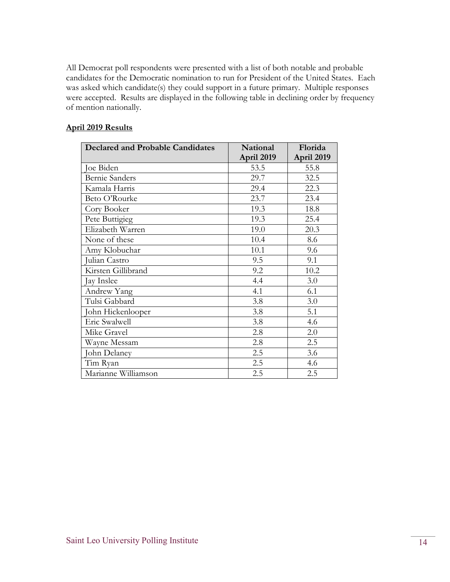All Democrat poll respondents were presented with a list of both notable and probable candidates for the Democratic nomination to run for President of the United States. Each was asked which candidate(s) they could support in a future primary. Multiple responses were accepted. Results are displayed in the following table in declining order by frequency of mention nationally.

#### **April 2019 Results**

| <b>Declared and Probable Candidates</b> | <b>National</b> | Florida    |
|-----------------------------------------|-----------------|------------|
|                                         | April 2019      | April 2019 |
| Joe Biden                               | 53.5            | 55.8       |
| <b>Bernie Sanders</b>                   | 29.7            | 32.5       |
| Kamala Harris                           | 29.4            | 22.3       |
| Beto O'Rourke                           | 23.7            | 23.4       |
| Cory Booker                             | 19.3            | 18.8       |
| Pete Buttigieg                          | 19.3            | 25.4       |
| Elizabeth Warren                        | 19.0            | 20.3       |
| None of these                           | 10.4            | 8.6        |
| Amy Klobuchar                           | 10.1            | 9.6        |
| Julian Castro                           | 9.5             | 9.1        |
| Kirsten Gillibrand                      | 9.2             | 10.2       |
| Jay Inslee                              | 4.4             | 3.0        |
| Andrew Yang                             | 4.1             | 6.1        |
| Tulsi Gabbard                           | 3.8             | 3.0        |
| John Hickenlooper                       | 3.8             | 5.1        |
| Eric Swalwell                           | 3.8             | 4.6        |
| Mike Gravel                             | 2.8             | 2.0        |
| Wayne Messam                            | 2.8             | 2.5        |
| John Delaney                            | 2.5             | 3.6        |
| Tim Ryan                                | 2.5             | 4.6        |
| Marianne Williamson                     | 2.5             | 2.5        |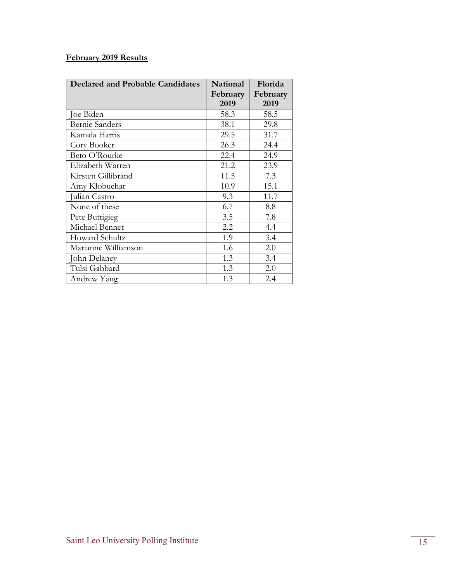#### **February 2019 Results**

| Declared and Probable Candidates | National | Florida  |
|----------------------------------|----------|----------|
|                                  | February | February |
|                                  | 2019     | 2019     |
| Joe Biden                        | 58.3     | 58.5     |
| <b>Bernie Sanders</b>            | 38.1     | 29.8     |
| Kamala Harris                    | 29.5     | 31.7     |
| Cory Booker                      | 26.3     | 24.4     |
| Beto O'Rourke                    | 22.4     | 24.9     |
| Elizabeth Warren                 | 21.2     | 23.9     |
| Kirsten Gillibrand               | 11.5     | 7.3      |
| Amy Klobuchar                    | 10.9     | 15.1     |
| Julian Castro                    | 9.3      | 11.7     |
| None of these                    | 6.7      | 8.8      |
| Pete Buttigieg                   | 3.5      | 7.8      |
| Michael Bennet                   | 2.2      | 4.4      |
| <b>Howard Schultz</b>            | 1.9      | 3.4      |
| Marianne Williamson              | 1.6      | 2.0      |
| John Delaney                     | 1.3      | 3.4      |
| Tulsi Gabbard                    | 1.3      | 2.0      |
| Andrew Yang                      | 1.3      | 2.4      |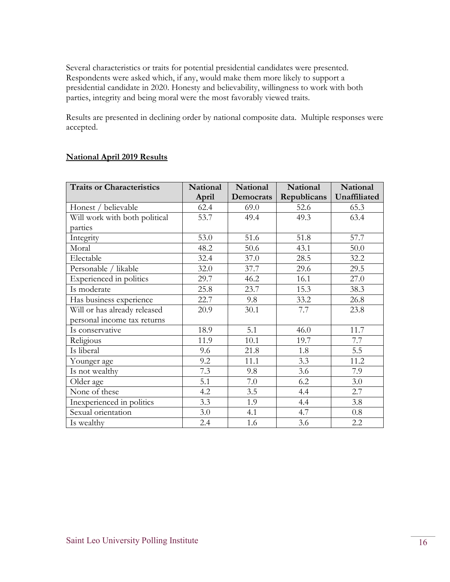Several characteristics or traits for potential presidential candidates were presented. Respondents were asked which, if any, would make them more likely to support a presidential candidate in 2020. Honesty and believability, willingness to work with both parties, integrity and being moral were the most favorably viewed traits.

Results are presented in declining order by national composite data. Multiple responses were accepted.

| <b>Traits or Characteristics</b> | <b>National</b> | National  | National    | National     |
|----------------------------------|-----------------|-----------|-------------|--------------|
|                                  | April           | Democrats | Republicans | Unaffiliated |
| Honest / believable              | 62.4            | 69.0      | 52.6        | 65.3         |
| Will work with both political    | 53.7            | 49.4      | 49.3        | 63.4         |
| parties                          |                 |           |             |              |
| Integrity                        | 53.0            | 51.6      | 51.8        | 57.7         |
| Moral                            | 48.2            | 50.6      | 43.1        | 50.0         |
| Electable                        | 32.4            | 37.0      | 28.5        | 32.2         |
| Personable / likable             | 32.0            | 37.7      | 29.6        | 29.5         |
| Experienced in politics          | 29.7            | 46.2      | 16.1        | 27.0         |
| Is moderate                      | 25.8            | 23.7      | 15.3        | 38.3         |
| Has business experience          | 22.7            | 9.8       | 33.2        | 26.8         |
| Will or has already released     | 20.9            | 30.1      | 7.7         | 23.8         |
| personal income tax returns      |                 |           |             |              |
| Is conservative                  | 18.9            | 5.1       | 46.0        | 11.7         |
| Religious                        | 11.9            | 10.1      | 19.7        | 7.7          |
| Is liberal                       | 9.6             | 21.8      | 1.8         | 5.5          |
| Younger age                      | 9.2             | 11.1      | 3.3         | 11.2         |
| Is not wealthy                   | 7.3             | 9.8       | 3.6         | 7.9          |
| Older age                        | 5.1             | 7.0       | 6.2         | 3.0          |
| None of these                    | 4.2             | 3.5       | 4.4         | 2.7          |
| Inexperienced in politics        | 3.3             | 1.9       | 4.4         | 3.8          |
| Sexual orientation               | 3.0             | 4.1       | 4.7         | 0.8          |
| Is wealthy                       | 2.4             | 1.6       | 3.6         | 2.2          |

#### **National April 2019 Results**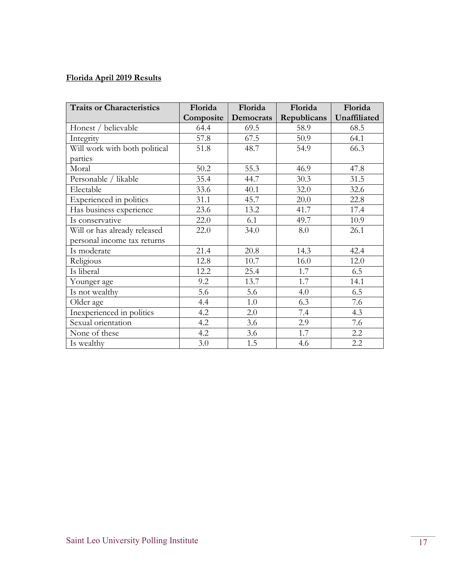## **Florida April 2019 Results**

| <b>Traits or Characteristics</b> | Florida   | Florida   | Florida     | Florida      |
|----------------------------------|-----------|-----------|-------------|--------------|
|                                  | Composite | Democrats | Republicans | Unaffiliated |
| Honest / believable              | 64.4      | 69.5      | 58.9        | 68.5         |
| Integrity                        | 57.8      | 67.5      | 50.9        | 64.1         |
| Will work with both political    | 51.8      | 48.7      | 54.9        | 66.3         |
| parties                          |           |           |             |              |
| Moral                            | 50.2      | 55.3      | 46.9        | 47.8         |
| Personable / likable             | 35.4      | 44.7      | 30.3        | 31.5         |
| Electable                        | 33.6      | 40.1      | 32.0        | 32.6         |
| Experienced in politics          | 31.1      | 45.7      | 20.0        | 22.8         |
| Has business experience          | 23.6      | 13.2      | 41.7        | 17.4         |
| Is conservative                  | 22.0      | 6.1       | 49.7        | 10.9         |
| Will or has already released     | 22.0      | 34.0      | 8.0         | 26.1         |
| personal income tax returns      |           |           |             |              |
| Is moderate                      | 21.4      | 20.8      | 14.3        | 42.4         |
| Religious                        | 12.8      | 10.7      | 16.0        | 12.0         |
| Is liberal                       | 12.2      | 25.4      | 1.7         | 6.5          |
| Younger age                      | 9.2       | 13.7      | 1.7         | 14.1         |
| Is not wealthy                   | 5.6       | 5.6       | 4.0         | 6.5          |
| Older age                        | 4.4       | 1.0       | 6.3         | 7.6          |
| Inexperienced in politics        | 4.2       | 2.0       | 7.4         | 4.3          |
| Sexual orientation               | 4.2       | 3.6       | 2.9         | 7.6          |
| None of these                    | 4.2       | 3.6       | 1.7         | 2.2          |
| Is wealthy                       | 3.0       | 1.5       | 4.6         | 2.2          |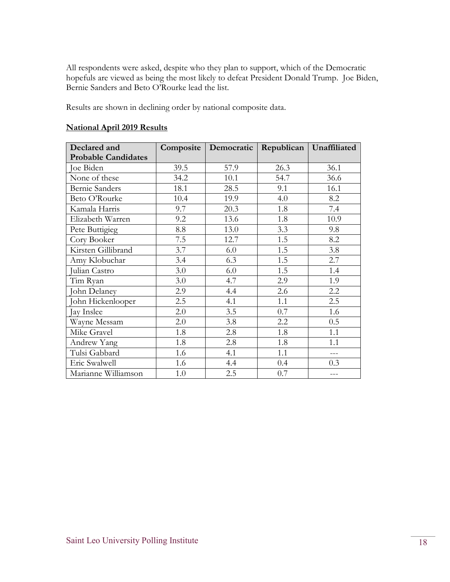All respondents were asked, despite who they plan to support, which of the Democratic hopefuls are viewed as being the most likely to defeat President Donald Trump. Joe Biden, Bernie Sanders and Beto O'Rourke lead the list.

Results are shown in declining order by national composite data.

| Declared and               | Composite | Democratic |      | Republican   Unaffiliated |
|----------------------------|-----------|------------|------|---------------------------|
| <b>Probable Candidates</b> |           |            |      |                           |
| Joe Biden                  | 39.5      | 57.9       | 26.3 | 36.1                      |
| None of these              | 34.2      | 10.1       | 54.7 | 36.6                      |
| <b>Bernie Sanders</b>      | 18.1      | 28.5       | 9.1  | 16.1                      |
| Beto O'Rourke              | 10.4      | 19.9       | 4.0  | 8.2                       |
| Kamala Harris              | 9.7       | 20.3       | 1.8  | 7.4                       |
| Elizabeth Warren           | 9.2       | 13.6       | 1.8  | 10.9                      |
| Pete Buttigieg             | 8.8       | 13.0       | 3.3  | 9.8                       |
| Cory Booker                | 7.5       | 12.7       | 1.5  | 8.2                       |
| Kirsten Gillibrand         | 3.7       | 6.0        | 1.5  | 3.8                       |
| Amy Klobuchar              | 3.4       | 6.3        | 1.5  | 2.7                       |
| Julian Castro              | 3.0       | 6.0        | 1.5  | 1.4                       |
| Tim Ryan                   | 3.0       | 4.7        | 2.9  | 1.9                       |
| John Delaney               | 2.9       | 4.4        | 2.6  | 2.2                       |
| John Hickenlooper          | 2.5       | 4.1        | 1.1  | 2.5                       |
| Jay Inslee                 | 2.0       | 3.5        | 0.7  | 1.6                       |
| Wayne Messam               | 2.0       | 3.8        | 2.2  | 0.5                       |
| Mike Gravel                | 1.8       | 2.8        | 1.8  | 1.1                       |
| Andrew Yang                | 1.8       | 2.8        | 1.8  | 1.1                       |
| Tulsi Gabbard              | 1.6       | 4.1        | 1.1  | $---$                     |
| Eric Swalwell              | 1.6       | 4.4        | 0.4  | 0.3                       |
| Marianne Williamson        | 1.0       | 2.5        | 0.7  | ---                       |

#### **National April 2019 Results**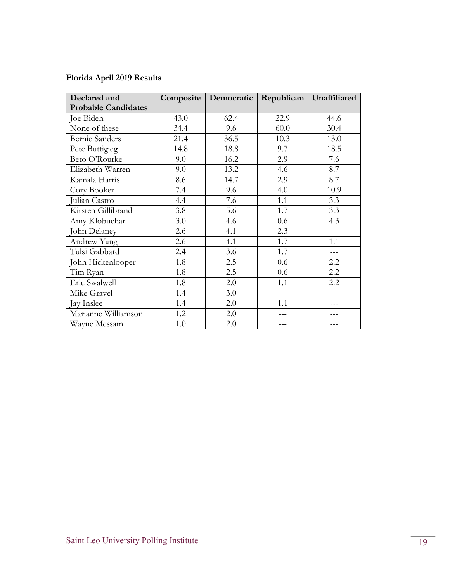#### **Florida April 2019 Results**

| Declared and               | Composite | Democratic | Republican | Unaffiliated |
|----------------------------|-----------|------------|------------|--------------|
| <b>Probable Candidates</b> |           |            |            |              |
| Joe Biden                  | 43.0      | 62.4       | 22.9       | 44.6         |
| None of these              | 34.4      | 9.6        | 60.0       | 30.4         |
| <b>Bernie Sanders</b>      | 21.4      | 36.5       | 10.3       | 13.0         |
| Pete Buttigieg             | 14.8      | 18.8       | 9.7        | 18.5         |
| Beto O'Rourke              | 9.0       | 16.2       | 2.9        | 7.6          |
| Elizabeth Warren           | 9.0       | 13.2       | 4.6        | 8.7          |
| Kamala Harris              | 8.6       | 14.7       | 2.9        | 8.7          |
| Cory Booker                | 7.4       | 9.6        | 4.0        | 10.9         |
| Julian Castro              | 4.4       | 7.6        | 1.1        | 3.3          |
| Kirsten Gillibrand         | 3.8       | 5.6        | 1.7        | 3.3          |
| Amy Klobuchar              | 3.0       | 4.6        | 0.6        | 4.3          |
| John Delaney               | 2.6       | 4.1        | 2.3        | $---$        |
| <b>Andrew Yang</b>         | 2.6       | 4.1        | 1.7        | 1.1          |
| Tulsi Gabbard              | 2.4       | 3.6        | 1.7        | ---          |
| John Hickenlooper          | 1.8       | 2.5        | 0.6        | 2.2          |
| Tim Ryan                   | 1.8       | 2.5        | 0.6        | 2.2          |
| Eric Swalwell              | 1.8       | 2.0        | 1.1        | 2.2          |
| Mike Gravel                | 1.4       | 3.0        | $---$      |              |
| Jay Inslee                 | 1.4       | 2.0        | 1.1        |              |
| Marianne Williamson        | 1.2       | 2.0        |            |              |
| Wayne Messam               | 1.0       | 2.0        |            |              |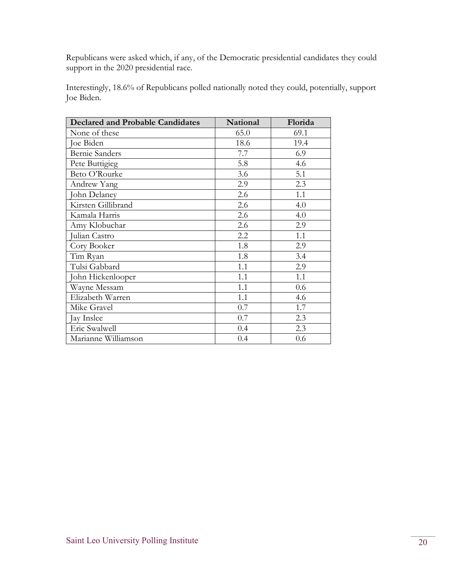Republicans were asked which, if any, of the Democratic presidential candidates they could support in the 2020 presidential race.

Interestingly, 18.6% of Republicans polled nationally noted they could, potentially, support Joe Biden.

| <b>Declared and Probable Candidates</b> | <b>National</b> | Florida |
|-----------------------------------------|-----------------|---------|
| None of these                           | 65.0            | 69.1    |
| Joe Biden                               | 18.6            | 19.4    |
| <b>Bernie Sanders</b>                   | 7.7             | 6.9     |
| Pete Buttigieg                          | 5.8             | 4.6     |
| Beto O'Rourke                           | 3.6             | 5.1     |
| Andrew Yang                             | 2.9             | 2.3     |
| John Delaney                            | 2.6             | 1.1     |
| Kirsten Gillibrand                      | 2.6             | 4.0     |
| Kamala Harris                           | 2.6             | 4.0     |
| Amy Klobuchar                           | 2.6             | 2.9     |
| Julian Castro                           | 2.2             | 1.1     |
| Cory Booker                             | 1.8             | 2.9     |
| Tim Ryan                                | 1.8             | 3.4     |
| Tulsi Gabbard                           | 1.1             | 2.9     |
| John Hickenlooper                       | 1.1             | 1.1     |
| Wayne Messam                            | 1.1             | 0.6     |
| Elizabeth Warren                        | 1.1             | 4.6     |
| Mike Gravel                             | 0.7             | 1.7     |
| Jay Inslee                              | 0.7             | 2.3     |
| Eric Swalwell                           | 0.4             | 2.3     |
| Marianne Williamson                     | 0.4             | 0.6     |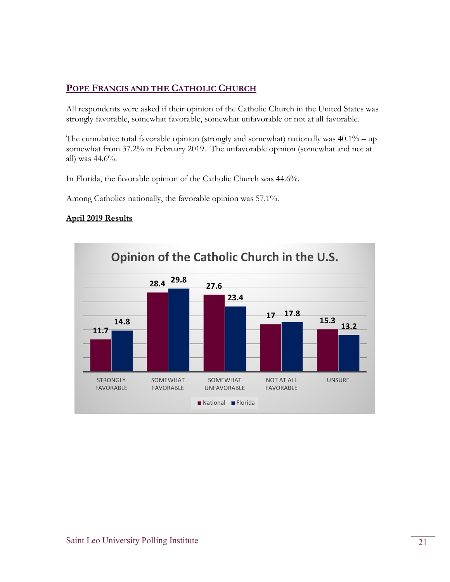#### **POPE FRANCIS AND THE CATHOLIC CHURCH**

All respondents were asked if their opinion of the Catholic Church in the United States was strongly favorable, somewhat favorable, somewhat unfavorable or not at all favorable.

The cumulative total favorable opinion (strongly and somewhat) nationally was  $40.1\%$  – up somewhat from 37.2% in February 2019. The unfavorable opinion (somewhat and not at all) was 44.6%.

In Florida, the favorable opinion of the Catholic Church was 44.6%.

Among Catholics nationally, the favorable opinion was 57.1%.

#### **April 2019 Results**

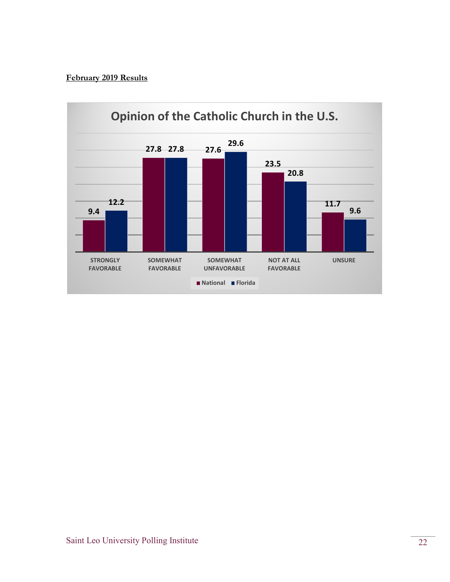#### **February 2019 Results**

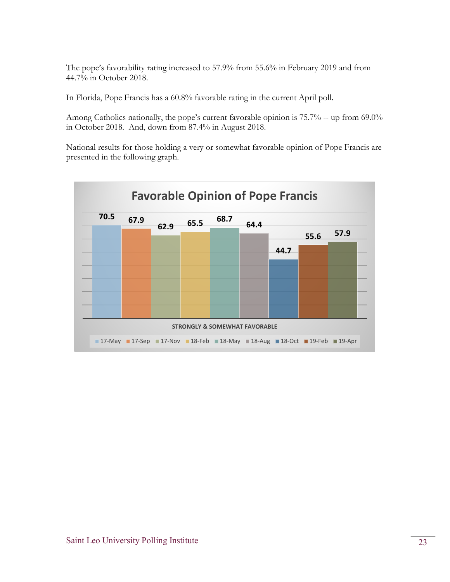The pope's favorability rating increased to 57.9% from 55.6% in February 2019 and from 44.7% in October 2018.

In Florida, Pope Francis has a 60.8% favorable rating in the current April poll.

Among Catholics nationally, the pope's current favorable opinion is 75.7% -- up from 69.0% in October 2018. And, down from 87.4% in August 2018.

National results for those holding a very or somewhat favorable opinion of Pope Francis are presented in the following graph.

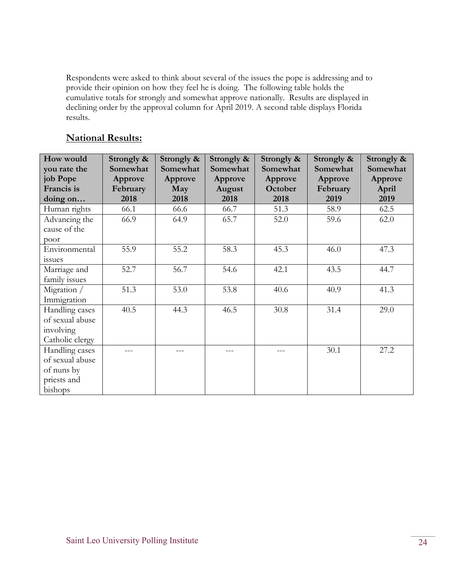Respondents were asked to think about several of the issues the pope is addressing and to provide their opinion on how they feel he is doing. The following table holds the cumulative totals for strongly and somewhat approve nationally. Results are displayed in declining order by the approval column for April 2019. A second table displays Florida results.

#### **National Results:**

| How would       | Strongly & | Strongly & | Strongly & | Strongly & | Strongly & | Strongly & |
|-----------------|------------|------------|------------|------------|------------|------------|
| you rate the    | Somewhat   | Somewhat   | Somewhat   | Somewhat   | Somewhat   | Somewhat   |
| job Pope        | Approve    | Approve    | Approve    | Approve    | Approve    | Approve    |
| Francis is      | February   | May        | August     | October    | February   | April      |
| doing on        | 2018       | 2018       | 2018       | 2018       | 2019       | 2019       |
| Human rights    | 66.1       | 66.6       | 66.7       | 51.3       | 58.9       | 62.5       |
| Advancing the   | 66.9       | 64.9       | 65.7       | 52.0       | 59.6       | 62.0       |
| cause of the    |            |            |            |            |            |            |
| poor            |            |            |            |            |            |            |
| Environmental   | 55.9       | 55.2       | 58.3       | 45.3       | 46.0       | 47.3       |
| <i>issues</i>   |            |            |            |            |            |            |
| Marriage and    | 52.7       | 56.7       | 54.6       | 42.1       | 43.5       | 44.7       |
| family issues   |            |            |            |            |            |            |
| Migration /     | 51.3       | 53.0       | 53.8       | 40.6       | 40.9       | 41.3       |
| Immigration     |            |            |            |            |            |            |
| Handling cases  | 40.5       | 44.3       | 46.5       | 30.8       | 31.4       | 29.0       |
| of sexual abuse |            |            |            |            |            |            |
| involving       |            |            |            |            |            |            |
| Catholic clergy |            |            |            |            |            |            |
| Handling cases  |            |            |            |            | 30.1       | 27.2       |
| of sexual abuse |            |            |            |            |            |            |
| of nuns by      |            |            |            |            |            |            |
| priests and     |            |            |            |            |            |            |
| bishops         |            |            |            |            |            |            |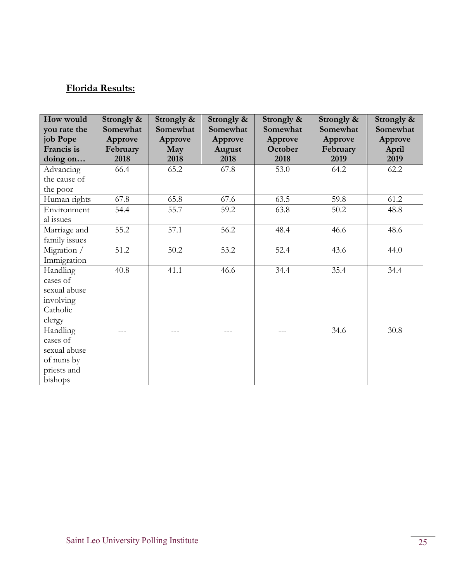## **Florida Results:**

| How would     | Strongly & | Strongly & | Strongly & | Strongly & | Strongly & | Strongly & |
|---------------|------------|------------|------------|------------|------------|------------|
| you rate the  | Somewhat   | Somewhat   | Somewhat   | Somewhat   | Somewhat   | Somewhat   |
| job Pope      | Approve    | Approve    | Approve    | Approve    | Approve    | Approve    |
| Francis is    | February   | May        | August     | October    | February   | April      |
| doing on      | 2018       | 2018       | 2018       | 2018       | 2019       | 2019       |
| Advancing     | 66.4       | 65.2       | 67.8       | 53.0       | 64.2       | 62.2       |
| the cause of  |            |            |            |            |            |            |
| the poor      |            |            |            |            |            |            |
| Human rights  | 67.8       | 65.8       | 67.6       | 63.5       | 59.8       | 61.2       |
| Environment   | 54.4       | 55.7       | 59.2       | 63.8       | 50.2       | 48.8       |
| al issues     |            |            |            |            |            |            |
| Marriage and  | 55.2       | 57.1       | 56.2       | 48.4       | 46.6       | 48.6       |
| family issues |            |            |            |            |            |            |
| Migration /   | 51.2       | 50.2       | 53.2       | 52.4       | 43.6       | 44.0       |
| Immigration   |            |            |            |            |            |            |
| Handling      | 40.8       | 41.1       | 46.6       | 34.4       | 35.4       | 34.4       |
| cases of      |            |            |            |            |            |            |
| sexual abuse  |            |            |            |            |            |            |
| involving     |            |            |            |            |            |            |
| Catholic      |            |            |            |            |            |            |
| clergy        |            |            |            |            |            |            |
| Handling      |            | ---        | ---        |            | 34.6       | 30.8       |
| cases of      |            |            |            |            |            |            |
| sexual abuse  |            |            |            |            |            |            |
| of nuns by    |            |            |            |            |            |            |
| priests and   |            |            |            |            |            |            |
| bishops       |            |            |            |            |            |            |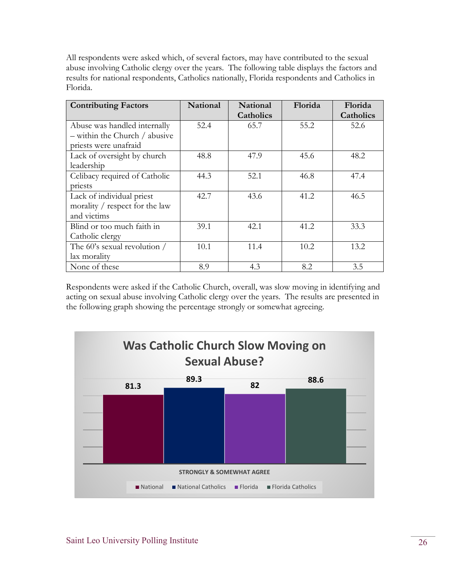All respondents were asked which, of several factors, may have contributed to the sexual abuse involving Catholic clergy over the years. The following table displays the factors and results for national respondents, Catholics nationally, Florida respondents and Catholics in Florida.

| <b>Contributing Factors</b>       | <b>National</b> | National  | Florida | Florida          |
|-----------------------------------|-----------------|-----------|---------|------------------|
|                                   |                 | Catholics |         | <b>Catholics</b> |
| Abuse was handled internally      | 52.4            | 65.7      | 55.2    | 52.6             |
| $-$ within the Church $/$ abusive |                 |           |         |                  |
| priests were unafraid             |                 |           |         |                  |
| Lack of oversight by church       | 48.8            | 47.9      | 45.6    | 48.2             |
| leadership                        |                 |           |         |                  |
| Celibacy required of Catholic     | 44.3            | 52.1      | 46.8    | 47.4             |
| priests                           |                 |           |         |                  |
| Lack of individual priest         | 42.7            | 43.6      | 41.2    | 46.5             |
| morality / respect for the law    |                 |           |         |                  |
| and victims                       |                 |           |         |                  |
| Blind or too much faith in        | 39.1            | 42.1      | 41.2    | 33.3             |
| Catholic clergy                   |                 |           |         |                  |
| The 60's sexual revolution /      | 10.1            | 11.4      | 10.2    | 13.2             |
| lax morality                      |                 |           |         |                  |
| None of these                     | 8.9             | 4.3       | 8.2     | 3.5              |

Respondents were asked if the Catholic Church, overall, was slow moving in identifying and acting on sexual abuse involving Catholic clergy over the years. The results are presented in the following graph showing the percentage strongly or somewhat agreeing.

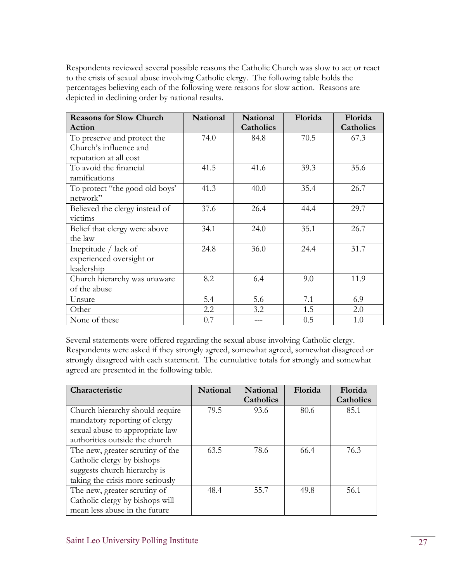Respondents reviewed several possible reasons the Catholic Church was slow to act or react to the crisis of sexual abuse involving Catholic clergy. The following table holds the percentages believing each of the following were reasons for slow action. Reasons are depicted in declining order by national results.

| <b>Reasons for Slow Church</b> | <b>National</b> | National  | Florida | Florida   |
|--------------------------------|-----------------|-----------|---------|-----------|
| Action                         |                 | Catholics |         | Catholics |
| To preserve and protect the    | 74.0            | 84.8      | 70.5    | 67.3      |
| Church's influence and         |                 |           |         |           |
| reputation at all cost         |                 |           |         |           |
| To avoid the financial         | 41.5            | 41.6      | 39.3    | 35.6      |
| ramifications                  |                 |           |         |           |
| To protect "the good old boys" | 41.3            | 40.0      | 35.4    | 26.7      |
| network"                       |                 |           |         |           |
| Believed the clergy instead of | 37.6            | 26.4      | 44.4    | 29.7      |
| victims                        |                 |           |         |           |
| Belief that clergy were above  | 34.1            | 24.0      | 35.1    | 26.7      |
| the law                        |                 |           |         |           |
| Ineptitude / lack of           | 24.8            | 36.0      | 24.4    | 31.7      |
| experienced oversight or       |                 |           |         |           |
| leadership                     |                 |           |         |           |
| Church hierarchy was unaware   | 8.2             | 6.4       | 9.0     | 11.9      |
| of the abuse                   |                 |           |         |           |
| Unsure                         | 5.4             | 5.6       | 7.1     | 6.9       |
| Other                          | 2.2             | 3.2       | 1.5     | 2.0       |
| None of these                  | 0.7             |           | 0.5     | 1.0       |

Several statements were offered regarding the sexual abuse involving Catholic clergy. Respondents were asked if they strongly agreed, somewhat agreed, somewhat disagreed or strongly disagreed with each statement. The cumulative totals for strongly and somewhat agreed are presented in the following table.

| Characteristic                   | National | <b>National</b>  | Florida | Florida          |
|----------------------------------|----------|------------------|---------|------------------|
|                                  |          | <b>Catholics</b> |         | <b>Catholics</b> |
| Church hierarchy should require  | 79.5     | 93.6             | 80.6    | 85.1             |
| mandatory reporting of clergy    |          |                  |         |                  |
| sexual abuse to appropriate law  |          |                  |         |                  |
| authorities outside the church   |          |                  |         |                  |
| The new, greater scrutiny of the | 63.5     | 78.6             | 66.4    | 76.3             |
| Catholic clergy by bishops       |          |                  |         |                  |
| suggests church hierarchy is     |          |                  |         |                  |
| taking the crisis more seriously |          |                  |         |                  |
| The new, greater scrutiny of     | 48.4     | 55.7             | 49.8    | 56.1             |
| Catholic clergy by bishops will  |          |                  |         |                  |
| mean less abuse in the future    |          |                  |         |                  |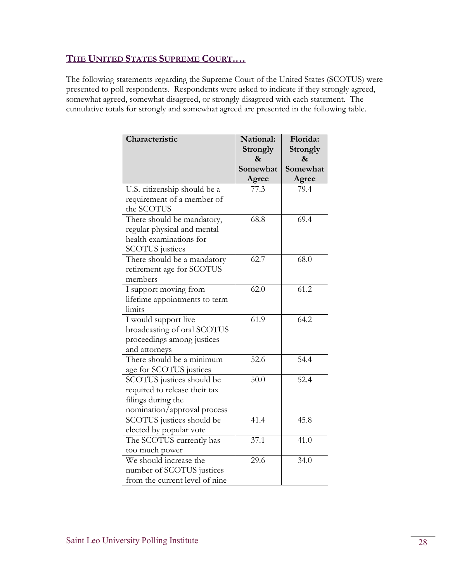#### **THE UNITED STATES SUPREME COURT.…**

The following statements regarding the Supreme Court of the United States (SCOTUS) were presented to poll respondents. Respondents were asked to indicate if they strongly agreed, somewhat agreed, somewhat disagreed, or strongly disagreed with each statement. The cumulative totals for strongly and somewhat agreed are presented in the following table.

| Characteristic                 | National:       | Florida: |
|--------------------------------|-----------------|----------|
|                                | <b>Strongly</b> | Strongly |
|                                | &               | &        |
|                                | Somewhat        | Somewhat |
|                                | Agree           | Agree    |
| U.S. citizenship should be a   | 77.3            | 79.4     |
| requirement of a member of     |                 |          |
| the SCOTUS                     |                 |          |
| There should be mandatory,     | 68.8            | 69.4     |
| regular physical and mental    |                 |          |
| health examinations for        |                 |          |
| <b>SCOTUS</b> justices         |                 |          |
| There should be a mandatory    | 62.7            | 68.0     |
| retirement age for SCOTUS      |                 |          |
| members                        |                 |          |
| I support moving from          | 62.0            | 61.2     |
| lifetime appointments to term  |                 |          |
| limits                         |                 |          |
| I would support live           | 61.9            | 64.2     |
| broadcasting of oral SCOTUS    |                 |          |
| proceedings among justices     |                 |          |
| and attorneys                  |                 |          |
| There should be a minimum      | 52.6            | 54.4     |
| age for SCOTUS justices        |                 |          |
| SCOTUS justices should be      | 50.0            | 52.4     |
| required to release their tax  |                 |          |
| filings during the             |                 |          |
| nomination/approval process    |                 |          |
| SCOTUS justices should be      | 41.4            | 45.8     |
| elected by popular vote        |                 |          |
| The SCOTUS currently has       | 37.1            | 41.0     |
| too much power                 |                 |          |
| We should increase the         | 29.6            | 34.0     |
| number of SCOTUS justices      |                 |          |
| from the current level of nine |                 |          |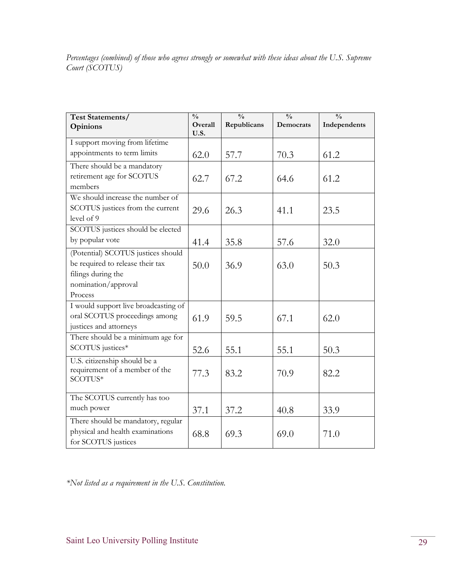*Percentages (combined) of those who agrees strongly or somewhat with these ideas about the U.S. Supreme Court (SCOTUS)* 

| Test Statements/<br>Opinions         | $\frac{0}{0}$<br>Overall<br>U.S. | $\frac{0}{0}$<br>Republicans | $\frac{0}{0}$<br>Democrats | $\frac{0}{0}$<br>Independents |
|--------------------------------------|----------------------------------|------------------------------|----------------------------|-------------------------------|
| I support moving from lifetime       |                                  |                              |                            |                               |
| appointments to term limits          | 62.0                             | 57.7                         | 70.3                       | 61.2                          |
| There should be a mandatory          |                                  |                              |                            |                               |
| retirement age for SCOTUS            | 62.7                             | 67.2                         | 64.6                       | 61.2                          |
| members                              |                                  |                              |                            |                               |
| We should increase the number of     |                                  |                              |                            |                               |
| SCOTUS justices from the current     | 29.6                             | 26.3                         | 41.1                       | 23.5                          |
| level of 9                           |                                  |                              |                            |                               |
| SCOTUS justices should be elected    |                                  |                              |                            |                               |
| by popular vote                      | 41.4                             | 35.8                         | 57.6                       | 32.0                          |
| (Potential) SCOTUS justices should   |                                  |                              |                            |                               |
| be required to release their tax     | 50.0                             | 36.9                         | 63.0                       | 50.3                          |
| filings during the                   |                                  |                              |                            |                               |
| nomination/approval                  |                                  |                              |                            |                               |
| Process                              |                                  |                              |                            |                               |
| I would support live broadcasting of |                                  |                              |                            |                               |
| oral SCOTUS proceedings among        | 61.9                             | 59.5                         | 67.1                       | 62.0                          |
| justices and attorneys               |                                  |                              |                            |                               |
| There should be a minimum age for    |                                  |                              |                            |                               |
| SCOTUS justices*                     | 52.6                             | 55.1                         | 55.1                       | 50.3                          |
| U.S. citizenship should be a         |                                  |                              |                            |                               |
| requirement of a member of the       | 77.3                             | 83.2                         | 70.9                       | 82.2                          |
| SCOTUS*                              |                                  |                              |                            |                               |
| The SCOTUS currently has too         |                                  |                              |                            |                               |
| much power                           | 37.1                             | 37.2                         | 40.8                       | 33.9                          |
| There should be mandatory, regular   |                                  |                              |                            |                               |
| physical and health examinations     | 68.8                             | 69.3                         | 69.0                       | 71.0                          |
| for SCOTUS justices                  |                                  |                              |                            |                               |

*\*Not listed as a requirement in the U.S. Constitution.*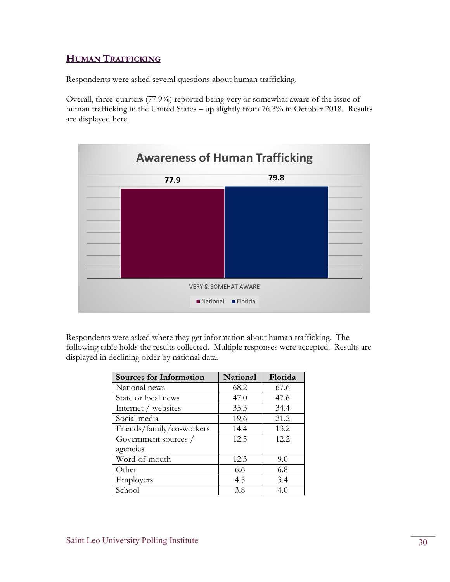#### **HUMAN TRAFFICKING**

Respondents were asked several questions about human trafficking.

Overall, three-quarters (77.9%) reported being very or somewhat aware of the issue of human trafficking in the United States – up slightly from 76.3% in October 2018. Results are displayed here.



Respondents were asked where they get information about human trafficking. The following table holds the results collected. Multiple responses were accepted. Results are displayed in declining order by national data.

| <b>Sources for Information</b> | National | Florida |
|--------------------------------|----------|---------|
| National news                  | 68.2     | 67.6    |
| State or local news            | 47.0     | 47.6    |
| Internet / websites            | 35.3     | 34.4    |
| Social media                   | 19.6     | 21.2    |
| Friends/family/co-workers      | 14.4     | 13.2    |
| Government sources /           | 12.5     | 12.2    |
| agencies                       |          |         |
| Word-of-mouth                  | 12.3     | 9.0     |
| Other                          | 6.6      | 6.8     |
| Employers                      | 4.5      | 3.4     |
| School                         | 3.8      | 4.0     |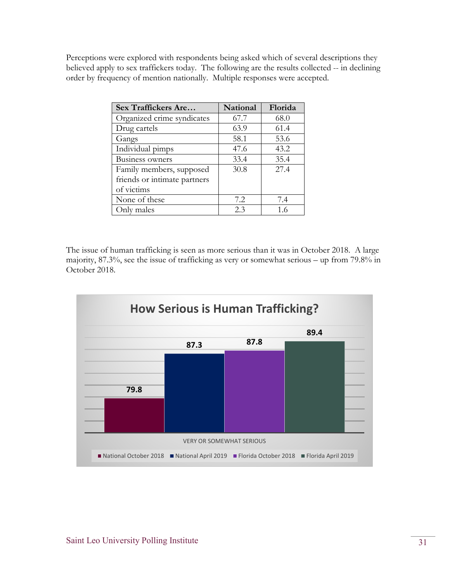Perceptions were explored with respondents being asked which of several descriptions they believed apply to sex traffickers today. The following are the results collected -- in declining order by frequency of mention nationally. Multiple responses were accepted.

| Sex Traffickers Are          | National | Florida |
|------------------------------|----------|---------|
| Organized crime syndicates   | 67.7     | 68.0    |
| Drug cartels                 | 63.9     | 61.4    |
| Gangs                        | 58.1     | 53.6    |
| Individual pimps             | 47.6     | 43.2    |
| <b>Business owners</b>       | 33.4     | 35.4    |
| Family members, supposed     | 30.8     | 27.4    |
| friends or intimate partners |          |         |
| of victims                   |          |         |
| None of these                | 7.2      | 7.4     |
| Only males                   | 2.3      | 1.6     |

The issue of human trafficking is seen as more serious than it was in October 2018. A large majority, 87.3%, see the issue of trafficking as very or somewhat serious – up from 79.8% in October 2018.

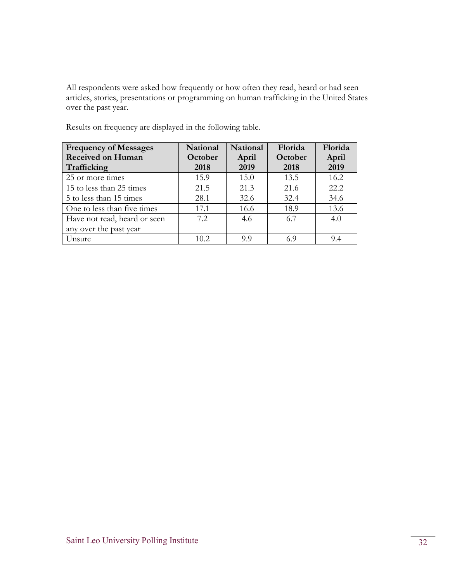All respondents were asked how frequently or how often they read, heard or had seen articles, stories, presentations or programming on human trafficking in the United States over the past year.

| <b>Frequency of Messages</b> | National | <b>National</b> | Florida | Florida |
|------------------------------|----------|-----------------|---------|---------|
| <b>Received on Human</b>     | October  | April           | October | April   |
| Trafficking                  | 2018     | 2019            | 2018    | 2019    |
| 25 or more times             | 15.9     | 15.0            | 13.5    | 16.2    |
| 15 to less than 25 times     | 21.5     | 21.3            | 21.6    | 22.2    |
| 5 to less than 15 times      | 28.1     | 32.6            | 32.4    | 34.6    |
| One to less than five times  | 17.1     | 16.6            | 18.9    | 13.6    |
| Have not read, heard or seen | 7.2.     | 4.6             | 6.7     | 4.0     |
| any over the past year       |          |                 |         |         |
| Unsure                       | 10.2     | 99              | 69      | 9.4     |

Results on frequency are displayed in the following table.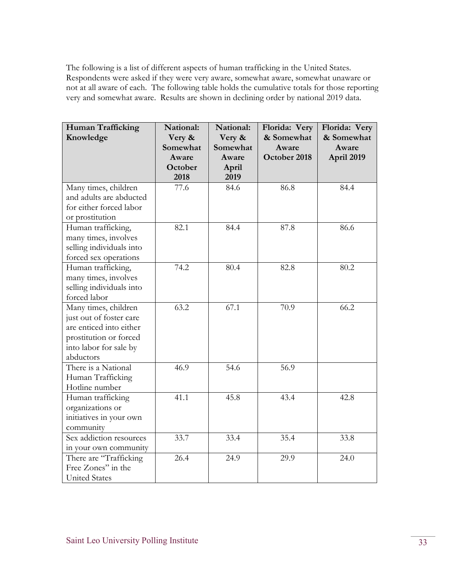The following is a list of different aspects of human trafficking in the United States. Respondents were asked if they were very aware, somewhat aware, somewhat unaware or not at all aware of each. The following table holds the cumulative totals for those reporting very and somewhat aware. Results are shown in declining order by national 2019 data.

| Human Trafficking        | National: | National: | Florida: Very | Florida: Very |
|--------------------------|-----------|-----------|---------------|---------------|
| Knowledge                | Very &    | Very &    | & Somewhat    | & Somewhat    |
|                          | Somewhat  | Somewhat  | Aware         | Aware         |
|                          | Aware     | Aware     | October 2018  | April 2019    |
|                          | October   | April     |               |               |
|                          | 2018      | 2019      |               |               |
| Many times, children     | 77.6      | 84.6      | 86.8          | 84.4          |
| and adults are abducted  |           |           |               |               |
| for either forced labor  |           |           |               |               |
| or prostitution          |           |           |               |               |
| Human trafficking,       | 82.1      | 84.4      | 87.8          | 86.6          |
| many times, involves     |           |           |               |               |
| selling individuals into |           |           |               |               |
| forced sex operations    |           |           |               |               |
| Human trafficking,       | 74.2      | 80.4      | 82.8          | 80.2          |
| many times, involves     |           |           |               |               |
| selling individuals into |           |           |               |               |
| forced labor             |           |           |               |               |
| Many times, children     | 63.2      | 67.1      | 70.9          | 66.2          |
| just out of foster care  |           |           |               |               |
| are enticed into either  |           |           |               |               |
| prostitution or forced   |           |           |               |               |
| into labor for sale by   |           |           |               |               |
| abductors                |           |           |               |               |
| There is a National      | 46.9      | 54.6      | 56.9          |               |
| Human Trafficking        |           |           |               |               |
| Hotline number           |           |           |               |               |
| Human trafficking        | 41.1      | 45.8      | 43.4          | 42.8          |
| organizations or         |           |           |               |               |
| initiatives in your own  |           |           |               |               |
| community                |           |           |               |               |
| Sex addiction resources  | 33.7      | 33.4      | 35.4          | 33.8          |
| in your own community    |           |           |               |               |
| There are "Trafficking   | 26.4      | 24.9      | 29.9          | 24.0          |
| Free Zones" in the       |           |           |               |               |
| <b>United States</b>     |           |           |               |               |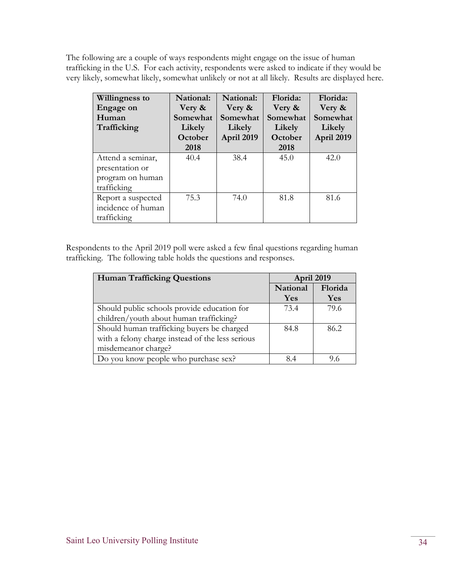The following are a couple of ways respondents might engage on the issue of human trafficking in the U.S. For each activity, respondents were asked to indicate if they would be very likely, somewhat likely, somewhat unlikely or not at all likely. Results are displayed here.

| Willingness to<br>Engage on<br>Human<br>Trafficking                     | National:<br>Very &<br>Somewhat<br>Likely<br>October<br>2018 | National:<br>Very &<br>Somewhat<br>Likely<br>April 2019 | Florida:<br>Very &<br>Somewhat<br>Likely<br>October<br>2018 | Florida:<br>Very &<br>Somewhat<br>Likely<br>April 2019 |
|-------------------------------------------------------------------------|--------------------------------------------------------------|---------------------------------------------------------|-------------------------------------------------------------|--------------------------------------------------------|
| Attend a seminar,<br>presentation or<br>program on human<br>trafficking | 40.4                                                         | 38.4                                                    | 45.0                                                        | 42.0                                                   |
| Report a suspected<br>incidence of human<br>trafficking                 | 75.3                                                         | 74.0                                                    | 81.8                                                        | 81.6                                                   |

Respondents to the April 2019 poll were asked a few final questions regarding human trafficking. The following table holds the questions and responses.

| <b>Human Trafficking Questions</b>               | April 2019          |      |
|--------------------------------------------------|---------------------|------|
|                                                  | Florida<br>National |      |
|                                                  | Yes                 | Yes  |
| Should public schools provide education for      | 73.4                | 79.6 |
| children/youth about human trafficking?          |                     |      |
| Should human trafficking buyers be charged       | 84.8                | 86.2 |
| with a felony charge instead of the less serious |                     |      |
| misdemeanor charge?                              |                     |      |
| Do you know people who purchase sex?             | 84                  | 9.6  |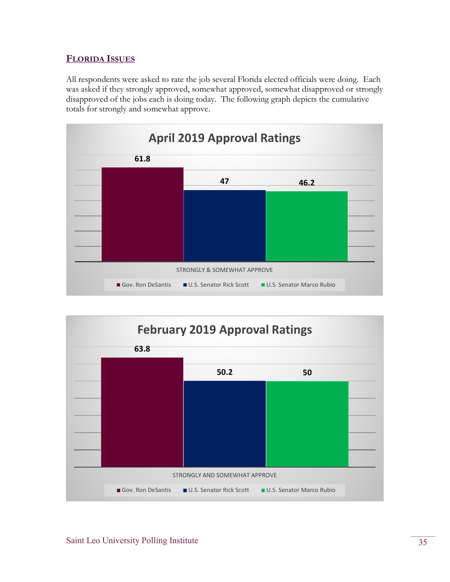#### **FLORIDA ISSUES**

All respondents were asked to rate the job several Florida elected officials were doing. Each was asked if they strongly approved, somewhat approved, somewhat disapproved or strongly disapproved of the jobs each is doing today. The following graph depicts the cumulative totals for strongly and somewhat approve.



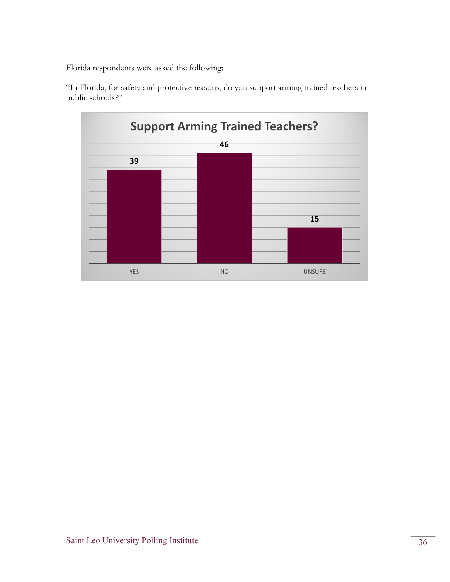Florida respondents were asked the following:

"In Florida, for safety and protective reasons, do you support arming trained teachers in public schools?"

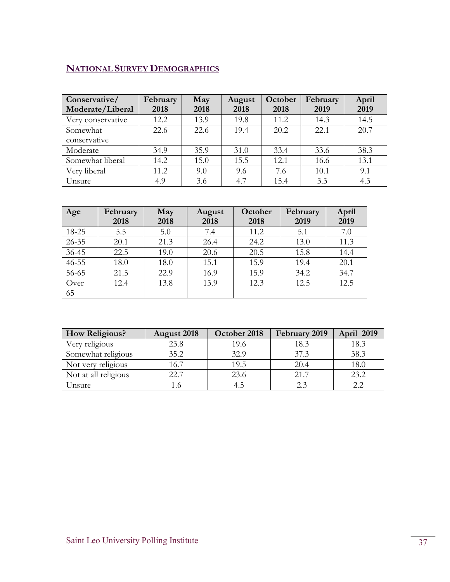## **NATIONAL SURVEY DEMOGRAPHICS**

| Conservative/<br>Moderate/Liberal | February<br>2018 | May<br>2018 | August<br>2018 | October<br>2018 | February<br>2019 | April<br>2019 |
|-----------------------------------|------------------|-------------|----------------|-----------------|------------------|---------------|
| Very conservative                 | 12.2             | 13.9        | 19.8           | 11.2            | 14.3             | 14.5          |
| Somewhat<br>conservative          | 22.6             | 22.6        | 19.4           | 20.2            | 22.1             | 20.7          |
| Moderate                          | 34.9             | 35.9        | 31.0           | 33.4            | 33.6             | 38.3          |
| Somewhat liberal                  | 14.2             | 15.0        | 15.5           | 12.1            | 16.6             | 13.1          |
| Very liberal                      | 11.2             | 9.0         | 9.6            | 7.6             | 10.1             | 9.1           |
| Unsure                            | 4.9              | 3.6         | 4.7            | 15.4            | 3.3              | 4.3           |

| Age       | February<br>2018 | May<br>2018 | August<br>2018 | October<br>2018 | February<br>2019 | April<br>2019 |
|-----------|------------------|-------------|----------------|-----------------|------------------|---------------|
| 18-25     | 5.5              | 5.0         | 7.4            | 11.2            | 5.1              | 7.0           |
| $26 - 35$ | 20.1             | 21.3        | 26.4           | 24.2            | 13.0             | 11.3          |
| $36 - 45$ | 22.5             | 19.0        | 20.6           | 20.5            | 15.8             | 14.4          |
| $46 - 55$ | 18.0             | 18.0        | 15.1           | 15.9            | 19.4             | 20.1          |
| 56-65     | 21.5             | 22.9        | 16.9           | 15.9            | 34.2             | 34.7          |
| Over      | 12.4             | 13.8        | 13.9           | 12.3            | 12.5             | 12.5          |
| 65        |                  |             |                |                 |                  |               |

| How Religious?       | <b>August</b> 2018 | October 2018 | February 2019 | April 2019 |
|----------------------|--------------------|--------------|---------------|------------|
| Very religious       | 23.8               | 19.6         | 18.3          | 18.3       |
| Somewhat religious   | 35.2               | 32.9         | 37.3          | 38.3       |
| Not very religious   | 16.7               | 19.5         | 20.4          | 18.0       |
| Not at all religious | 22.7               | 23.6         | 21.7          | 23.2       |
| Unsure               | L.6                |              | 2.3           |            |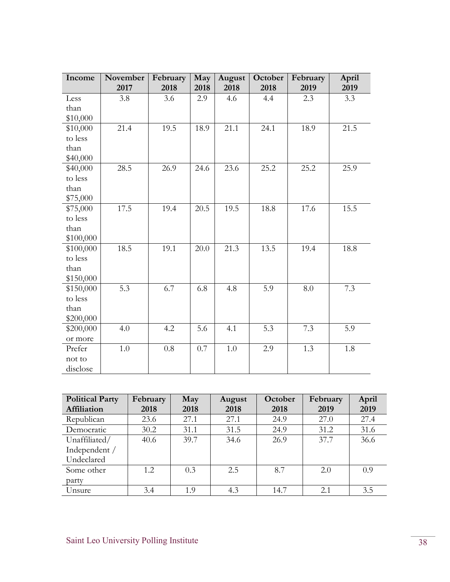| Income    | November | February | May  | August  | October          | February | April |
|-----------|----------|----------|------|---------|------------------|----------|-------|
|           | 2017     | 2018     | 2018 | 2018    | 2018             | 2019     | 2019  |
| Less      | 3.8      | 3.6      | 2.9  | 4.6     | 4.4              | 2.3      | 3.3   |
| than      |          |          |      |         |                  |          |       |
| \$10,000  |          |          |      |         |                  |          |       |
| \$10,000  | 21.4     | 19.5     | 18.9 | 21.1    | 24.1             | 18.9     | 21.5  |
| to less   |          |          |      |         |                  |          |       |
| than      |          |          |      |         |                  |          |       |
| \$40,000  |          |          |      |         |                  |          |       |
| \$40,000  | 28.5     | 26.9     | 24.6 | 23.6    | 25.2             | 25.2     | 25.9  |
| to less   |          |          |      |         |                  |          |       |
| than      |          |          |      |         |                  |          |       |
| \$75,000  |          |          |      |         |                  |          |       |
| \$75,000  | 17.5     | 19.4     | 20.5 | 19.5    | 18.8             | 17.6     | 15.5  |
| to less   |          |          |      |         |                  |          |       |
| than      |          |          |      |         |                  |          |       |
| \$100,000 |          |          |      |         |                  |          |       |
| \$100,000 | 18.5     | 19.1     | 20.0 | 21.3    | 13.5             | 19.4     | 18.8  |
| to less   |          |          |      |         |                  |          |       |
| than      |          |          |      |         |                  |          |       |
| \$150,000 |          |          |      |         |                  |          |       |
| \$150,000 | 5.3      | 6.7      | 6.8  | 4.8     | $\overline{5.9}$ | 8.0      | 7.3   |
| to less   |          |          |      |         |                  |          |       |
| than      |          |          |      |         |                  |          |       |
| \$200,000 |          |          |      |         |                  |          |       |
| \$200,000 | 4.0      | 4.2      | 5.6  | 4.1     | 5.3              | 7.3      | 5.9   |
| or more   |          |          |      |         |                  |          |       |
| Prefer    | 1.0      | $0.8\,$  | 0.7  | $1.0\,$ | 2.9              | 1.3      | 1.8   |
| not to    |          |          |      |         |                  |          |       |
| disclose  |          |          |      |         |                  |          |       |

| <b>Political Party</b> | February | May  | August | October | February | April |  |
|------------------------|----------|------|--------|---------|----------|-------|--|
| Affiliation            | 2018     | 2018 | 2018   | 2018    | 2019     | 2019  |  |
| Republican             | 23.6     | 27.1 | 27.1   | 24.9    | 27.0     | 27.4  |  |
| Democratic             | 30.2     | 31.1 | 31.5   | 24.9    | 31.2     | 31.6  |  |
| Unaffiliated/          | 40.6     | 39.7 | 34.6   | 26.9    | 37.7     | 36.6  |  |
| Independent /          |          |      |        |         |          |       |  |
| Undeclared             |          |      |        |         |          |       |  |
| Some other             | 1.2      | 0.3  | 2.5    | 8.7     | 2.0      | 0.9   |  |
| party                  |          |      |        |         |          |       |  |
| Unsure                 | 3.4      | 1.9  | 4.3    | 14.7    | 2.1      | 3.5   |  |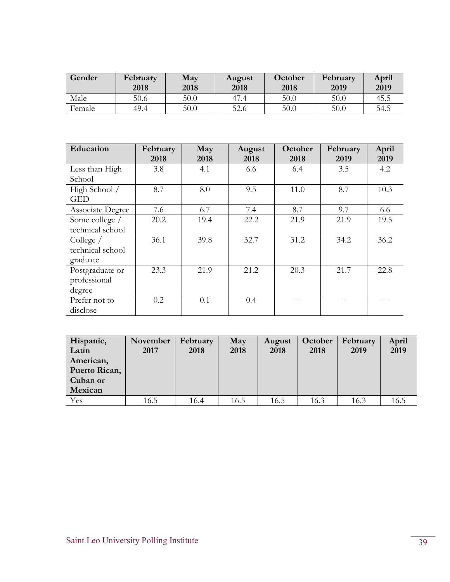| Gender | February<br>2018 | May<br>2018 | August<br>2018 | October<br>2018 | February<br>2019 | April<br>2019 |
|--------|------------------|-------------|----------------|-----------------|------------------|---------------|
| Male   | 50.6             | 50.0        | 47.4           | 50.0            | 50.0             | 45.5          |
| Female | 49.4             | 50.0        | 52.6           | 50.0            | 50.0             | 54.5          |

| Education                                   | February<br>2018 | May<br>2018 | August<br>2018 | October<br>2018 | February<br>2019 | April<br>2019 |
|---------------------------------------------|------------------|-------------|----------------|-----------------|------------------|---------------|
| Less than High<br>School                    | 3.8              | 4.1         | 6.6            | 6.4             | 3.5              | 4.2           |
| High School /<br><b>GED</b>                 | 8.7              | 8.0         | 9.5            | 11.0            | 8.7              | 10.3          |
| Associate Degree                            | 7.6              | 6.7         | 7.4            | 8.7             | 9.7              | 6.6           |
| Some college /<br>technical school          | 20.2             | 19.4        | 22.2           | 21.9            | 21.9             | 19.5          |
| College $/$<br>technical school<br>graduate | 36.1             | 39.8        | 32.7           | 31.2            | 34.2             | 36.2          |
| Postgraduate or<br>professional<br>degree   | 23.3             | 21.9        | 21.2           | 20.3            | 21.7             | 22.8          |
| Prefer not to<br>disclose                   | 0.2              | 0.1         | 0.4            |                 |                  |               |

| Hispanic,<br>Latin<br>American,<br>Puerto Rican,<br>Cuban or | November<br>2017 | February<br>2018 | May<br>2018 | August<br>2018 | October<br>2018 | February<br>2019 | April<br>2019 |
|--------------------------------------------------------------|------------------|------------------|-------------|----------------|-----------------|------------------|---------------|
| Mexican                                                      |                  |                  |             |                |                 |                  |               |
| Yes                                                          | 16.5             | 16.4             | 16.5        | 16.5           | 16.3            | 16.3             | 16.5          |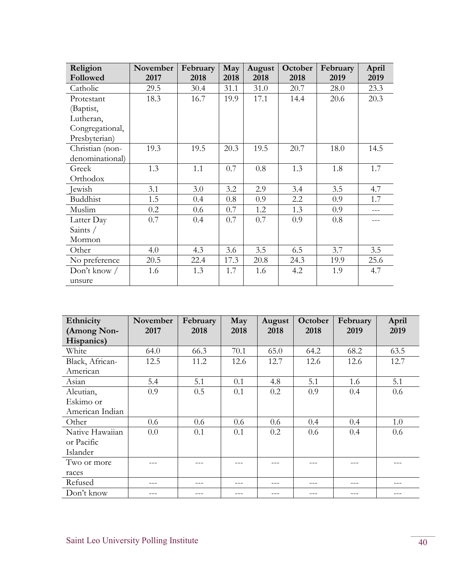| Religion        | November | February | May  | August | October | February | April |
|-----------------|----------|----------|------|--------|---------|----------|-------|
| Followed        | 2017     | 2018     | 2018 | 2018   | 2018    | 2019     | 2019  |
| Catholic        | 29.5     | 30.4     | 31.1 | 31.0   | 20.7    | 28.0     | 23.3  |
| Protestant      | 18.3     | 16.7     | 19.9 | 17.1   | 14.4    | 20.6     | 20.3  |
| (Baptist,       |          |          |      |        |         |          |       |
| Lutheran,       |          |          |      |        |         |          |       |
| Congregational, |          |          |      |        |         |          |       |
| Presbyterian)   |          |          |      |        |         |          |       |
| Christian (non- | 19.3     | 19.5     | 20.3 | 19.5   | 20.7    | 18.0     | 14.5  |
| denominational) |          |          |      |        |         |          |       |
| Greek           | 1.3      | 1.1      | 0.7  | 0.8    | 1.3     | 1.8      | 1.7   |
| Orthodox        |          |          |      |        |         |          |       |
| Jewish          | 3.1      | 3.0      | 3.2  | 2.9    | 3.4     | 3.5      | 4.7   |
| <b>Buddhist</b> | 1.5      | 0.4      | 0.8  | 0.9    | 2.2     | 0.9      | 1.7   |
| Muslim          | 0.2      | 0.6      | 0.7  | 1.2    | 1.3     | 0.9      |       |
| Latter Day      | 0.7      | 0.4      | 0.7  | 0.7    | 0.9     | 0.8      |       |
| Saints /        |          |          |      |        |         |          |       |
| Mormon          |          |          |      |        |         |          |       |
| Other           | 4.0      | 4.3      | 3.6  | 3.5    | 6.5     | 3.7      | 3.5   |
| No preference   | 20.5     | 22.4     | 17.3 | 20.8   | 24.3    | 19.9     | 25.6  |
| Don't know $/$  | 1.6      | 1.3      | 1.7  | 1.6    | 4.2     | 1.9      | 4.7   |
| unsure          |          |          |      |        |         |          |       |

| Ethnicity       | November | February | May  | August | October | February | April |
|-----------------|----------|----------|------|--------|---------|----------|-------|
| (Among Non-     | 2017     | 2018     | 2018 | 2018   | 2018    | 2019     | 2019  |
| Hispanics)      |          |          |      |        |         |          |       |
| White           | 64.0     | 66.3     | 70.1 | 65.0   | 64.2    | 68.2     | 63.5  |
| Black, African- | 12.5     | 11.2     | 12.6 | 12.7   | 12.6    | 12.6     | 12.7  |
| American        |          |          |      |        |         |          |       |
| Asian           | 5.4      | 5.1      | 0.1  | 4.8    | 5.1     | 1.6      | 5.1   |
| Aleutian,       | 0.9      | 0.5      | 0.1  | 0.2    | 0.9     | 0.4      | 0.6   |
| Eskimo or       |          |          |      |        |         |          |       |
| American Indian |          |          |      |        |         |          |       |
| Other           | 0.6      | 0.6      | 0.6  | 0.6    | 0.4     | 0.4      | 1.0   |
| Native Hawaiian | 0.0      | 0.1      | 0.1  | 0.2    | 0.6     | 0.4      | 0.6   |
| or Pacific      |          |          |      |        |         |          |       |
| Islander        |          |          |      |        |         |          |       |
| Two or more     |          |          |      |        |         |          |       |
| races           |          |          |      |        |         |          |       |
| Refused         |          |          |      |        |         |          |       |
| Don't know      |          |          |      |        |         |          |       |